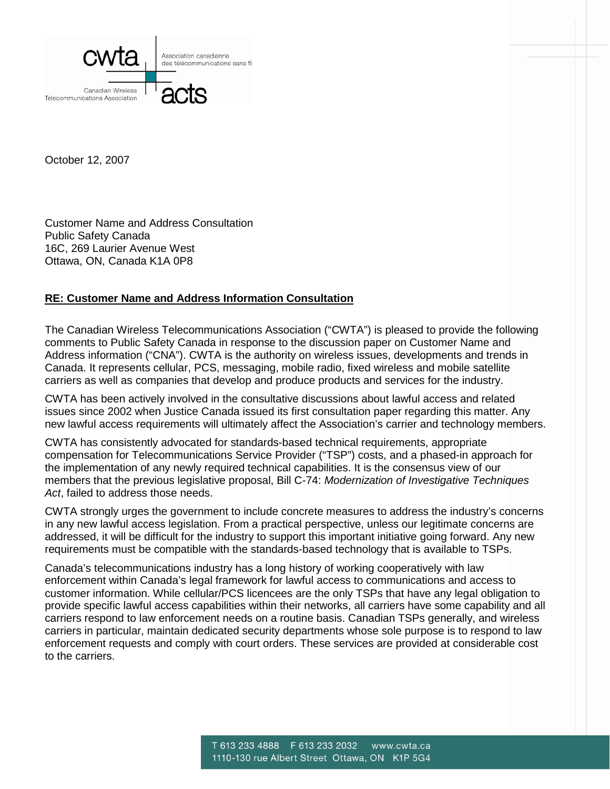

October 12, 2007

Customer Name and Address Consultation Public Safety Canada 16C, 269 Laurier Avenue West Ottawa, ON, Canada K1A 0P8

## **RE: Customer Name and Address Information Consultation**

The Canadian Wireless Telecommunications Association ("CWTA") is pleased to provide the following comments to Public Safety Canada in response to the discussion paper on Customer Name and Address information ("CNA"). CWTA is the authority on wireless issues, developments and trends in Canada. It represents cellular, PCS, messaging, mobile radio, fixed wireless and mobile satellite carriers as well as companies that develop and produce products and services for the industry.

CWTA has been actively involved in the consultative discussions about lawful access and related issues since 2002 when Justice Canada issued its first consultation paper regarding this matter. Any new lawful access requirements will ultimately affect the Association's carrier and technology members.

CWTA has consistently advocated for standards-based technical requirements, appropriate compensation for Telecommunications Service Provider ("TSP") costs, and a phased-in approach for the implementation of any newly required technical capabilities. It is the consensus view of our members that the previous legislative proposal, Bill C-74: *Modernization of Investigative Techniques Act*, failed to address those needs.

CWTA strongly urges the government to include concrete measures to address the industry's concerns in any new lawful access legislation. From a practical perspective, unless our legitimate concerns are addressed, it will be difficult for the industry to support this important initiative going forward. Any new requirements must be compatible with the standards-based technology that is available to TSPs.

Canada's telecommunications industry has a long history of working cooperatively with law enforcement within Canada's legal framework for lawful access to communications and access to customer information. While cellular/PCS licencees are the only TSPs that have any legal obligation to provide specific lawful access capabilities within their networks, all carriers have some capability and all carriers respond to law enforcement needs on a routine basis. Canadian TSPs generally, and wireless carriers in particular, maintain dedicated security departments whose sole purpose is to respond to law enforcement requests and comply with court orders. These services are provided at considerable cost to the carriers.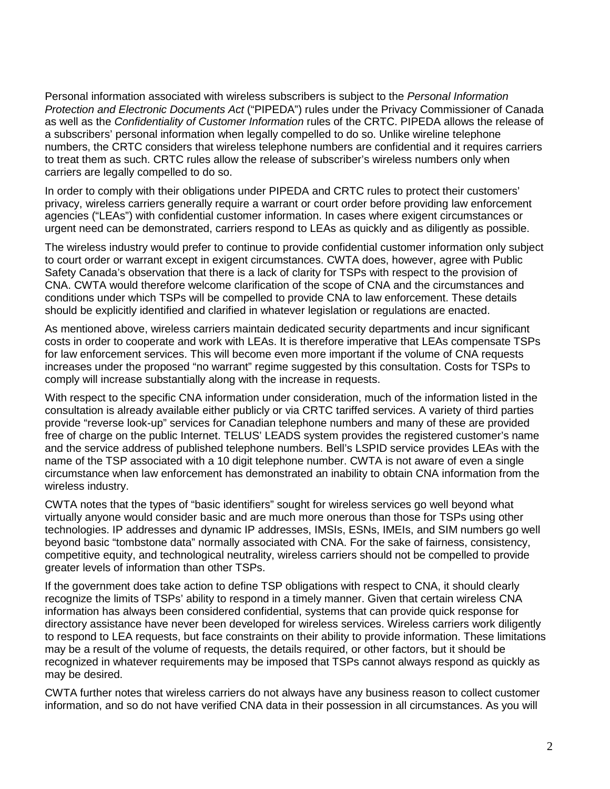Personal information associated with wireless subscribers is subject to the *Personal Information Protection and Electronic Documents Act* ("PIPEDA") rules under the Privacy Commissioner of Canada as well as the *Confidentiality of Customer Information* rules of the CRTC. PIPEDA allows the release of a subscribers' personal information when legally compelled to do so. Unlike wireline telephone numbers, the CRTC considers that wireless telephone numbers are confidential and it requires carriers to treat them as such. CRTC rules allow the release of subscriber's wireless numbers only when carriers are legally compelled to do so.

In order to comply with their obligations under PIPEDA and CRTC rules to protect their customers' privacy, wireless carriers generally require a warrant or court order before providing law enforcement agencies ("LEAs") with confidential customer information. In cases where exigent circumstances or urgent need can be demonstrated, carriers respond to LEAs as quickly and as diligently as possible.

The wireless industry would prefer to continue to provide confidential customer information only subject to court order or warrant except in exigent circumstances. CWTA does, however, agree with Public Safety Canada's observation that there is a lack of clarity for TSPs with respect to the provision of CNA. CWTA would therefore welcome clarification of the scope of CNA and the circumstances and conditions under which TSPs will be compelled to provide CNA to law enforcement. These details should be explicitly identified and clarified in whatever legislation or regulations are enacted.

As mentioned above, wireless carriers maintain dedicated security departments and incur significant costs in order to cooperate and work with LEAs. It is therefore imperative that LEAs compensate TSPs for law enforcement services. This will become even more important if the volume of CNA requests increases under the proposed "no warrant" regime suggested by this consultation. Costs for TSPs to comply will increase substantially along with the increase in requests.

With respect to the specific CNA information under consideration, much of the information listed in the consultation is already available either publicly or via CRTC tariffed services. A variety of third parties provide "reverse look-up" services for Canadian telephone numbers and many of these are provided free of charge on the public Internet. TELUS' LEADS system provides the registered customer's name and the service address of published telephone numbers. Bell's LSPID service provides LEAs with the name of the TSP associated with a 10 digit telephone number. CWTA is not aware of even a single circumstance when law enforcement has demonstrated an inability to obtain CNA information from the wireless industry.

CWTA notes that the types of "basic identifiers" sought for wireless services go well beyond what virtually anyone would consider basic and are much more onerous than those for TSPs using other technologies. IP addresses and dynamic IP addresses, IMSIs, ESNs, IMEIs, and SIM numbers go well beyond basic "tombstone data" normally associated with CNA. For the sake of fairness, consistency, competitive equity, and technological neutrality, wireless carriers should not be compelled to provide greater levels of information than other TSPs.

If the government does take action to define TSP obligations with respect to CNA, it should clearly recognize the limits of TSPs' ability to respond in a timely manner. Given that certain wireless CNA information has always been considered confidential, systems that can provide quick response for directory assistance have never been developed for wireless services. Wireless carriers work diligently to respond to LEA requests, but face constraints on their ability to provide information. These limitations may be a result of the volume of requests, the details required, or other factors, but it should be recognized in whatever requirements may be imposed that TSPs cannot always respond as quickly as may be desired.

CWTA further notes that wireless carriers do not always have any business reason to collect customer information, and so do not have verified CNA data in their possession in all circumstances. As you will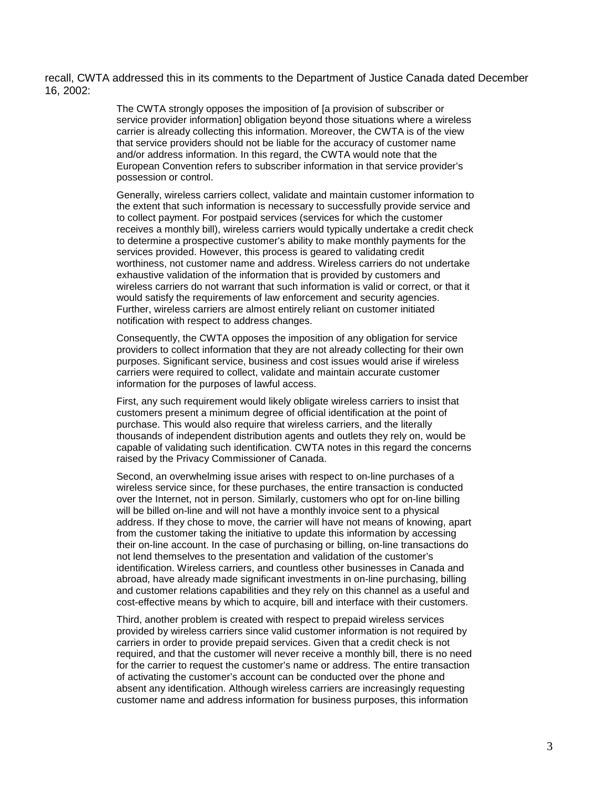recall, CWTA addressed this in its comments to the Department of Justice Canada dated December 16, 2002:

> The CWTA strongly opposes the imposition of [a provision of subscriber or service provider information] obligation beyond those situations where a wireless carrier is already collecting this information. Moreover, the CWTA is of the view that service providers should not be liable for the accuracy of customer name and/or address information. In this regard, the CWTA would note that the European Convention refers to subscriber information in that service provider's possession or control.

> Generally, wireless carriers collect, validate and maintain customer information to the extent that such information is necessary to successfully provide service and to collect payment. For postpaid services (services for which the customer receives a monthly bill), wireless carriers would typically undertake a credit check to determine a prospective customer's ability to make monthly payments for the services provided. However, this process is geared to validating credit worthiness, not customer name and address. Wireless carriers do not undertake exhaustive validation of the information that is provided by customers and wireless carriers do not warrant that such information is valid or correct, or that it would satisfy the requirements of law enforcement and security agencies. Further, wireless carriers are almost entirely reliant on customer initiated notification with respect to address changes.

Consequently, the CWTA opposes the imposition of any obligation for service providers to collect information that they are not already collecting for their own purposes. Significant service, business and cost issues would arise if wireless carriers were required to collect, validate and maintain accurate customer information for the purposes of lawful access.

First, any such requirement would likely obligate wireless carriers to insist that customers present a minimum degree of official identification at the point of purchase. This would also require that wireless carriers, and the literally thousands of independent distribution agents and outlets they rely on, would be capable of validating such identification. CWTA notes in this regard the concerns raised by the Privacy Commissioner of Canada.

Second, an overwhelming issue arises with respect to on-line purchases of a wireless service since, for these purchases, the entire transaction is conducted over the Internet, not in person. Similarly, customers who opt for on-line billing will be billed on-line and will not have a monthly invoice sent to a physical address. If they chose to move, the carrier will have not means of knowing, apart from the customer taking the initiative to update this information by accessing their on-line account. In the case of purchasing or billing, on-line transactions do not lend themselves to the presentation and validation of the customer's identification. Wireless carriers, and countless other businesses in Canada and abroad, have already made significant investments in on-line purchasing, billing and customer relations capabilities and they rely on this channel as a useful and cost-effective means by which to acquire, bill and interface with their customers.

Third, another problem is created with respect to prepaid wireless services provided by wireless carriers since valid customer information is not required by carriers in order to provide prepaid services. Given that a credit check is not required, and that the customer will never receive a monthly bill, there is no need for the carrier to request the customer's name or address. The entire transaction of activating the customer's account can be conducted over the phone and absent any identification. Although wireless carriers are increasingly requesting customer name and address information for business purposes, this information